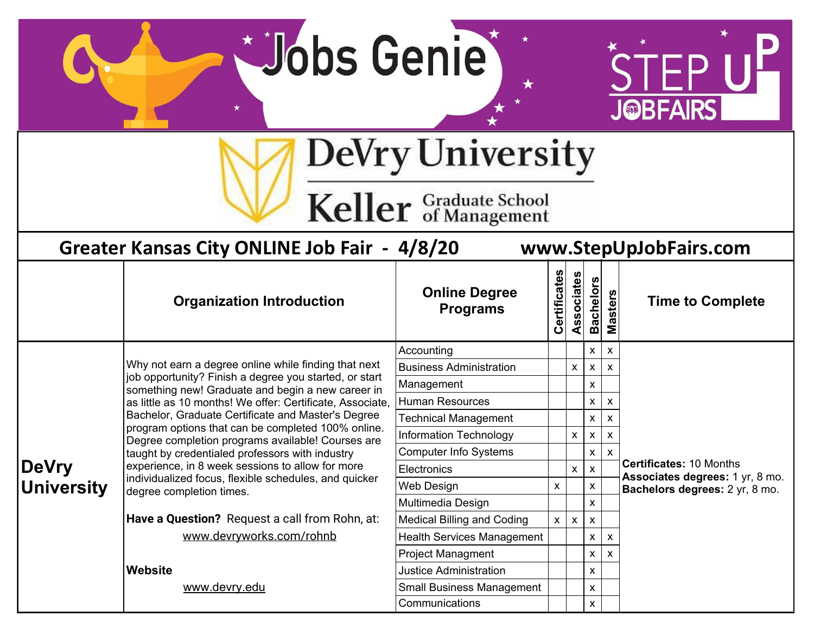**Dobs Genie** 

 $\star$ 



DeVry University

Keller Graduate School

| Greater Kansas City ONLINE Job Fair - 4/8/20<br>www.StepUpJobFairs.com |                                                                                                             |                                              |                                |                                |                    |         |                                                                   |  |
|------------------------------------------------------------------------|-------------------------------------------------------------------------------------------------------------|----------------------------------------------|--------------------------------|--------------------------------|--------------------|---------|-------------------------------------------------------------------|--|
|                                                                        | <b>Organization Introduction</b>                                                                            | <b>Online Degree</b><br><b>Programs</b>      | Certificates                   | sociates<br>Ä                  | <b>Bachelors</b>   | Masters | <b>Time to Complete</b>                                           |  |
|                                                                        |                                                                                                             | Accounting<br>X<br>$\boldsymbol{\mathsf{x}}$ |                                |                                |                    |         |                                                                   |  |
|                                                                        | Why not earn a degree online while finding that next                                                        | <b>Business Administration</b>               |                                | X                              | X                  | X       |                                                                   |  |
|                                                                        | job opportunity? Finish a degree you started, or start<br>something new! Graduate and begin a new career in | Management                                   |                                |                                | X                  |         |                                                                   |  |
|                                                                        | as little as 10 months! We offer: Certificate, Associate,                                                   | <b>Human Resources</b><br>X<br>X             |                                |                                |                    |         |                                                                   |  |
|                                                                        | Bachelor, Graduate Certificate and Master's Degree                                                          | <b>Technical Management</b>                  | X<br>X                         |                                |                    |         |                                                                   |  |
|                                                                        | program options that can be completed 100% online.<br>Degree completion programs available! Courses are     | Information Technology                       |                                | X                              | X                  | X       |                                                                   |  |
|                                                                        | taught by credentialed professors with industry                                                             | <b>Computer Info Systems</b>                 |                                |                                | X                  |         |                                                                   |  |
| <b>DeVry</b>                                                           | experience, in 8 week sessions to allow for more                                                            | Electronics                                  | X<br>$\boldsymbol{\mathsf{x}}$ | <b>Certificates: 10 Months</b> |                    |         |                                                                   |  |
| <b>University</b>                                                      | individualized focus, flexible schedules, and quicker<br>degree completion times.                           | Web Design                                   | X                              |                                | X                  |         | Associates degrees: 1 yr, 8 mo.<br>Bachelors degrees: 2 yr, 8 mo. |  |
|                                                                        |                                                                                                             | Multimedia Design                            | X                              |                                |                    |         |                                                                   |  |
|                                                                        | Have a Question? Request a call from Rohn, at:                                                              | <b>Medical Billing and Coding</b>            | x                              | $\pmb{\mathsf{X}}$             | X                  |         |                                                                   |  |
|                                                                        | www.devryworks.com/rohnb                                                                                    | <b>Health Services Management</b>            |                                |                                | $\pmb{\mathsf{x}}$ | X       |                                                                   |  |
|                                                                        |                                                                                                             | <b>Project Managment</b>                     |                                |                                | $\pmb{\times}$     | X       |                                                                   |  |
|                                                                        | Website                                                                                                     | <b>Justice Administration</b>                |                                |                                | X                  |         |                                                                   |  |
|                                                                        | www.devry.edu                                                                                               | <b>Small Business Management</b>             |                                |                                | X                  |         |                                                                   |  |
|                                                                        |                                                                                                             | Communications                               |                                |                                | X                  |         |                                                                   |  |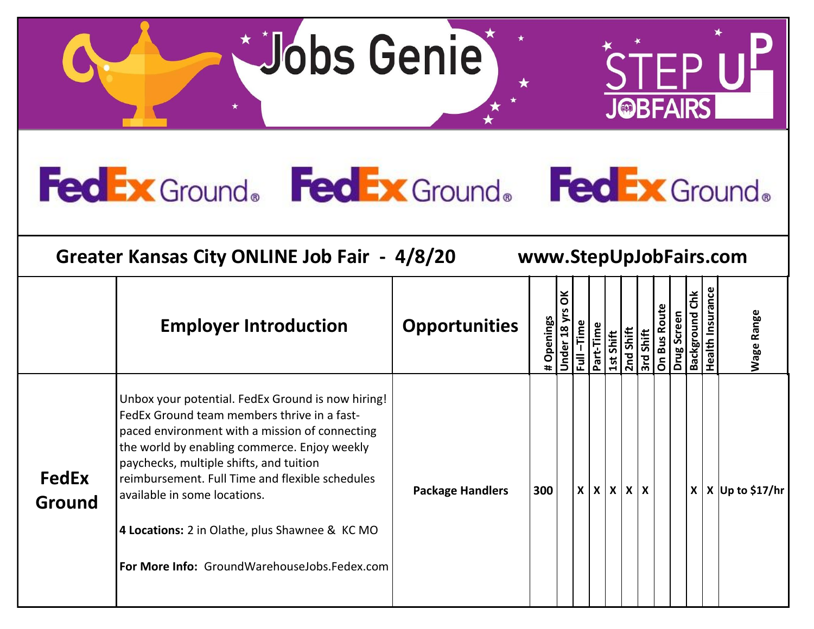**Jobs Genie** 



## **FedEx** Ground. **FedEx** Ground. **FedEx** Ground.



**Greater Kansas City ONLINE Job Fair - 4/8/20 www.StepUpJobFairs.com**

|                        | <b>Employer Introduction</b>                                                                                                                                                                                                                                                                                                                                                                                                       | <b>Opportunities</b>    | Openings | ă<br>18 <sub>y</sub> | Ĕ.           | Time<br>π | Shift<br>$\mathbf{S}$ | Shift<br>2 <sub>nd</sub> | <b>Shift</b><br>$\overline{\mathsf{3rd}}$ | င်္ | 둡<br>ځ | Ĕ<br>buno <sup>.</sup><br><b>Ba</b> | <b>Insurance</b><br>ealth | Wage Range              |
|------------------------|------------------------------------------------------------------------------------------------------------------------------------------------------------------------------------------------------------------------------------------------------------------------------------------------------------------------------------------------------------------------------------------------------------------------------------|-------------------------|----------|----------------------|--------------|-----------|-----------------------|--------------------------|-------------------------------------------|-----|--------|-------------------------------------|---------------------------|-------------------------|
| <b>FedEx</b><br>Ground | Unbox your potential. FedEx Ground is now hiring!<br>FedEx Ground team members thrive in a fast-<br>paced environment with a mission of connecting<br>the world by enabling commerce. Enjoy weekly<br>paychecks, multiple shifts, and tuition<br>reimbursement. Full Time and flexible schedules<br>available in some locations.<br>4 Locations: 2 in Olathe, plus Shawnee & KC MO<br>For More Info: GroundWarehouseJobs.Fedex.com | <b>Package Handlers</b> | 300      |                      | $\mathsf{x}$ |           |                       | x   x   x   x            |                                           |     |        |                                     |                           | $X$   X   Up to \$17/hr |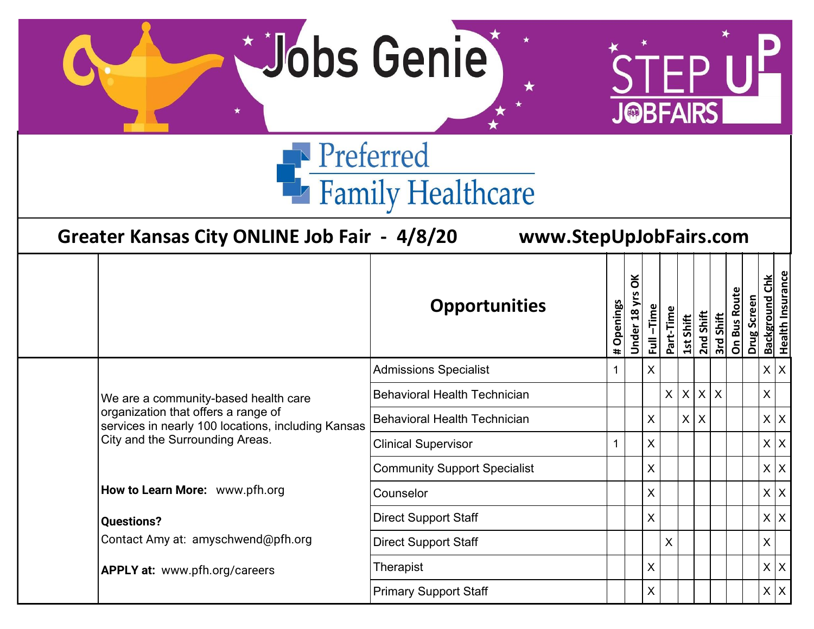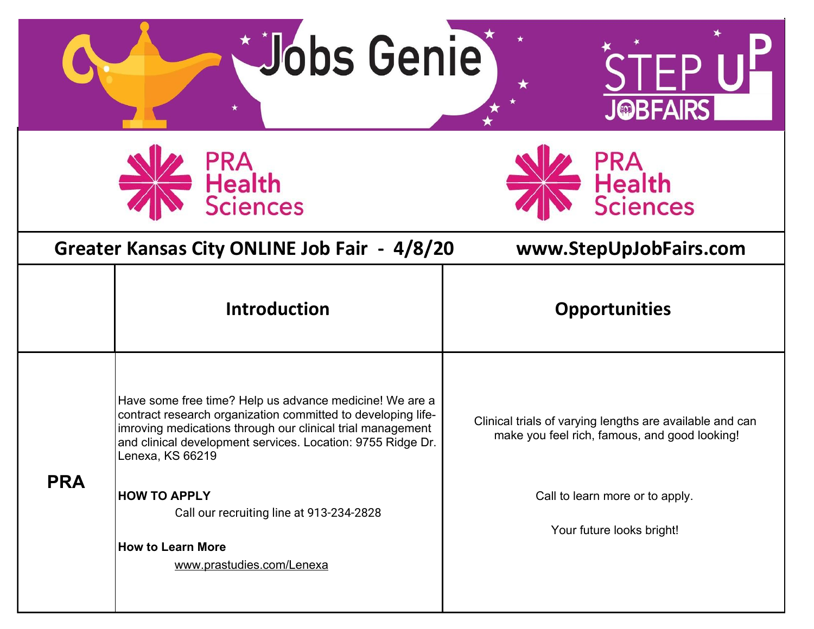|            | <b>Dobs Genie</b>                                                                                                                                                                                                                                                        | <b>J©BFAIRS</b>                                                                                           |  |  |  |  |  |  |  |
|------------|--------------------------------------------------------------------------------------------------------------------------------------------------------------------------------------------------------------------------------------------------------------------------|-----------------------------------------------------------------------------------------------------------|--|--|--|--|--|--|--|
|            | PRA<br>Health<br>Sciences                                                                                                                                                                                                                                                | PRA<br>Health<br>Sciences                                                                                 |  |  |  |  |  |  |  |
|            | Greater Kansas City ONLINE Job Fair - 4/8/20                                                                                                                                                                                                                             | www.StepUpJobFairs.com                                                                                    |  |  |  |  |  |  |  |
|            | <b>Introduction</b>                                                                                                                                                                                                                                                      | <b>Opportunities</b>                                                                                      |  |  |  |  |  |  |  |
|            | Have some free time? Help us advance medicine! We are a<br>contract research organization committed to developing life-<br>imroving medications through our clinical trial management<br>and clinical development services. Location: 9755 Ridge Dr.<br>Lenexa, KS 66219 | Clinical trials of varying lengths are available and can<br>make you feel rich, famous, and good looking! |  |  |  |  |  |  |  |
| <b>PRA</b> | <b>HOW TO APPLY</b><br>Call our recruiting line at 913-234-2828<br><b>How to Learn More</b><br>www.prastudies.com/Lenexa                                                                                                                                                 | Call to learn more or to apply.<br>Your future looks bright!                                              |  |  |  |  |  |  |  |